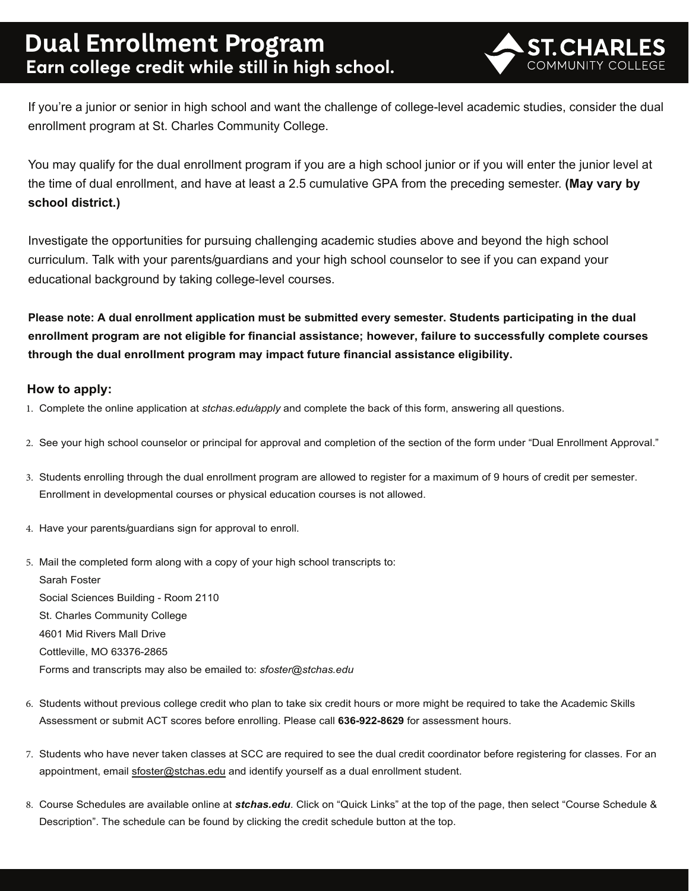## **Dual Enrollment Program Earn college credit while still in high school.**



If you're a junior or senior in high school and want the challenge of college-level academic studies, consider the dual enrollment program at St. Charles Community College.

You may qualify for the dual enrollment program if you are a high school junior or if you will enter the junior level at the time of dual enrollment, and have at least a 2.5 cumulative GPA from the preceding semester. **(May vary by school district.)** 

Investigate the opportunities for pursuing challenging academic studies above and beyond the high school curriculum. Talk with your parents/guardians and your high school counselor to see if you can expand your educational background by taking college-level courses.

**Please note: A dual enrollment application must be submitted every semester. Students participating in the dual enrollment program are not eligible for financial assistance; however, failure to successfully complete courses through the dual enrollment program may impact future financial assistance eligibility.**

#### **How to apply:**

- 1. Complete the online application at *stchas.edu/apply* and complete the back of this form, answering all questions.
- 2. See your high school counselor or principal for approval and completion of the section of the form under "Dual Enrollment Approval."
- 3. Students enrolling through the dual enrollment program are allowed to register for a maximum of 9 hours of credit per semester. Enrollment in developmental courses or physical education courses is not allowed.
- 4. Have your parents/guardians sign for approval to enroll.
- 5. Mail the completed form along with a copy of your high school transcripts to: Sarah Foster Social Sciences Building - Room 2110 St. Charles Community College 4601 Mid Rivers Mall Drive Cottleville, MO 63376-2865 Forms and transcripts may also be emailed to: *sfoster@stchas.edu*
- 6. Students without previous college credit who plan to take six credit hours or more might be required to take the Academic Skills Assessment or submit ACT scores before enrolling. Please call **636-922-8629** for assessment hours.
- 7. Students who have never taken classes at SCC are required to see the dual credit coordinator before registering for classes. For an appointment, email sfoster@stchas.edu and identify yourself as a dual enrollment student.
- 8. Course Schedules are available online at *stchas.edu*. Click on "Quick Links" at the top of the page, then select "Course Schedule & Description". The schedule can be found by clicking the credit schedule button at the top.